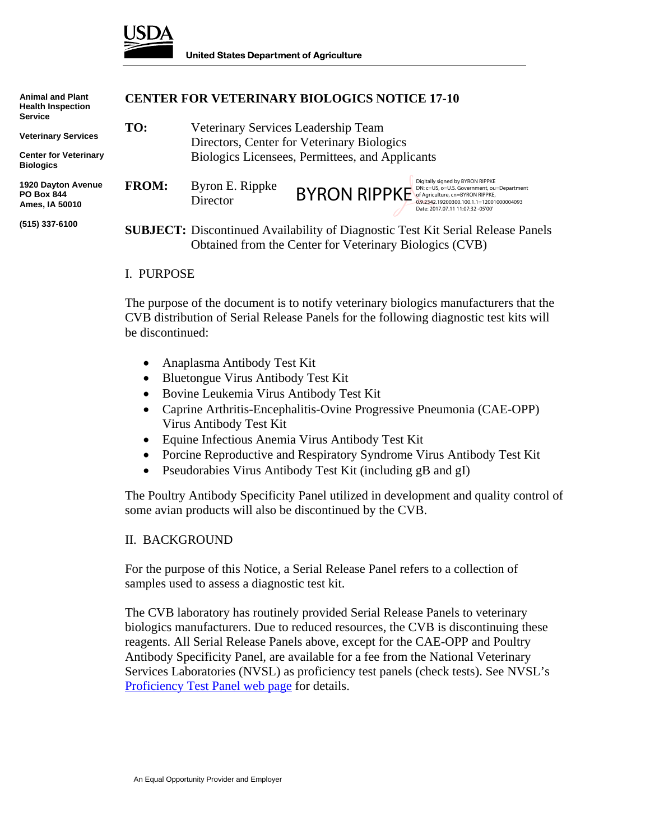

| <b>Animal and Plant</b><br><b>Health Inspection</b><br><b>Service</b> | <b>CENTER FOR VETERINARY BIOLOGICS NOTICE 17-10</b> |                                                                                                                                                   |                     |                                                                                                                                                                                                     |
|-----------------------------------------------------------------------|-----------------------------------------------------|---------------------------------------------------------------------------------------------------------------------------------------------------|---------------------|-----------------------------------------------------------------------------------------------------------------------------------------------------------------------------------------------------|
| <b>Veterinary Services</b>                                            | TO:                                                 | Veterinary Services Leadership Team<br>Directors, Center for Veterinary Biologics<br>Biologics Licensees, Permittees, and Applicants              |                     |                                                                                                                                                                                                     |
| <b>Center for Veterinary</b><br><b>Biologics</b>                      |                                                     |                                                                                                                                                   |                     |                                                                                                                                                                                                     |
| 1920 Dayton Avenue<br><b>PO Box 844</b><br>Ames, IA 50010             | <b>FROM:</b>                                        | Byron E. Rippke<br>Director                                                                                                                       | <b>BYRON RIPPKE</b> | Digitally signed by BYRON RIPPKE<br>DN: c=US, o=U.S. Government, ou=Department<br>of Agriculture, cn=BYRON RIPPKE,<br>0.9.2342.19200300.100.1.1=12001000004093<br>Date: 2017.07.11 11:07:32 -05'00' |
| (515) 337-6100                                                        |                                                     | <b>SUBJECT:</b> Discontinued Availability of Diagnostic Test Kit Serial Release Panels<br>Obtained from the Center for Veterinary Biologics (CVB) |                     |                                                                                                                                                                                                     |

#### I. PURPOSE

The purpose of the document is to notify veterinary biologics manufacturers that the CVB distribution of Serial Release Panels for the following diagnostic test kits will be discontinued:

- Anaplasma Antibody Test Kit
- Bluetongue Virus Antibody Test Kit
- Bovine Leukemia Virus Antibody Test Kit
- Caprine Arthritis-Encephalitis-Ovine Progressive Pneumonia (CAE-OPP) Virus Antibody Test Kit
- Equine Infectious Anemia Virus Antibody Test Kit
- Porcine Reproductive and Respiratory Syndrome Virus Antibody Test Kit
- Pseudorabies Virus Antibody Test Kit (including gB and gI)

The Poultry Antibody Specificity Panel utilized in development and quality control of some avian products will also be discontinued by the CVB.

### II. BACKGROUND

For the purpose of this Notice, a Serial Release Panel refers to a collection of samples used to assess a diagnostic test kit.

The CVB laboratory has routinely provided Serial Release Panels to veterinary biologics manufacturers. Due to reduced resources, the CVB is discontinuing these reagents. All Serial Release Panels above, except for the CAE-OPP and Poultry Antibody Specificity Panel, are available for a fee from the National Veterinary Services Laboratories (NVSL) as proficiency test panels (check tests). See NVSL's Proficiency Test Panel web page for details.